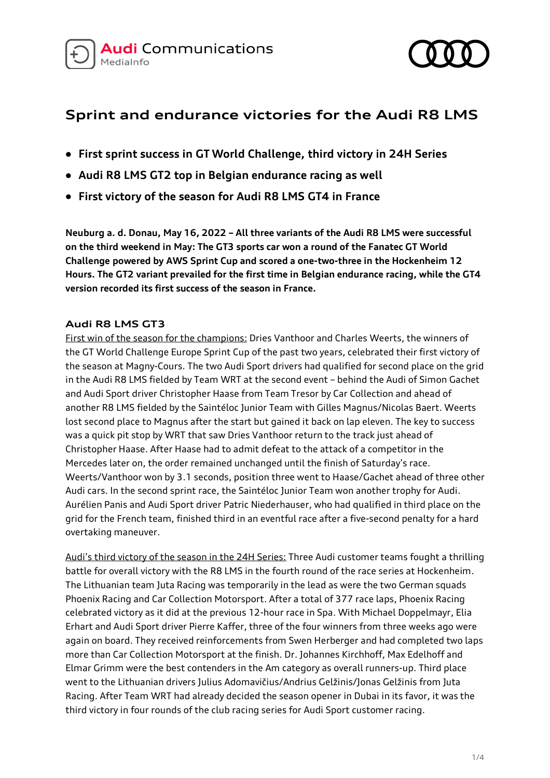



# **Sprint and endurance victories for the Audi R8 LMS**

- **First sprint success in GT World Challenge, third victory in 24H Series**
- **Audi R8 LMS GT2 top in Belgian endurance racing as well**
- **First victory of the season for Audi R8 LMS GT4 in France**

**Neuburg a. d. Donau, May 16, 2022 – All three variants of the Audi R8 LMS were successful on the third weekend in May: The GT3 sports car won a round of the Fanatec GT World Challenge powered by AWS Sprint Cup and scored a one-two-three in the Hockenheim 12 Hours. The GT2 variant prevailed for the first time in Belgian endurance racing, while the GT4 version recorded its first success of the season in France.**

### **Audi R8 LMS GT3**

First win of the season for the champions: Dries Vanthoor and Charles Weerts, the winners of the GT World Challenge Europe Sprint Cup of the past two years, celebrated their first victory of the season at Magny-Cours. The two Audi Sport drivers had qualified for second place on the grid in the Audi R8 LMS fielded by Team WRT at the second event – behind the Audi of Simon Gachet and Audi Sport driver Christopher Haase from Team Tresor by Car Collection and ahead of another R8 LMS fielded by the Saintéloc Junior Team with Gilles Magnus/Nicolas Baert. Weerts lost second place to Magnus after the start but gained it back on lap eleven. The key to success was a quick pit stop by WRT that saw Dries Vanthoor return to the track just ahead of Christopher Haase. After Haase had to admit defeat to the attack of a competitor in the Mercedes later on, the order remained unchanged until the finish of Saturday's race. Weerts/Vanthoor won by 3.1 seconds, position three went to Haase/Gachet ahead of three other Audi cars. In the second sprint race, the Saintéloc Junior Team won another trophy for Audi. Aurélien Panis and Audi Sport driver Patric Niederhauser, who had qualified in third place on the grid for the French team, finished third in an eventful race after a five-second penalty for a hard overtaking maneuver.

Audi's third victory of the season in the 24H Series: Three Audi customer teams fought a thrilling battle for overall victory with the R8 LMS in the fourth round of the race series at Hockenheim. The Lithuanian team Juta Racing was temporarily in the lead as were the two German squads Phoenix Racing and Car Collection Motorsport. After a total of 377 race laps, Phoenix Racing celebrated victory as it did at the previous 12-hour race in Spa. With Michael Doppelmayr, Elia Erhart and Audi Sport driver Pierre Kaffer, three of the four winners from three weeks ago were again on board. They received reinforcements from Swen Herberger and had completed two laps more than Car Collection Motorsport at the finish. Dr. Johannes Kirchhoff, Max Edelhoff and Elmar Grimm were the best contenders in the Am category as overall runners-up. Third place went to the Lithuanian drivers Julius Adomavičius/Andrius Gelžinis/Jonas Gelžinis from Juta Racing. After Team WRT had already decided the season opener in Dubai in its favor, it was the third victory in four rounds of the club racing series for Audi Sport customer racing.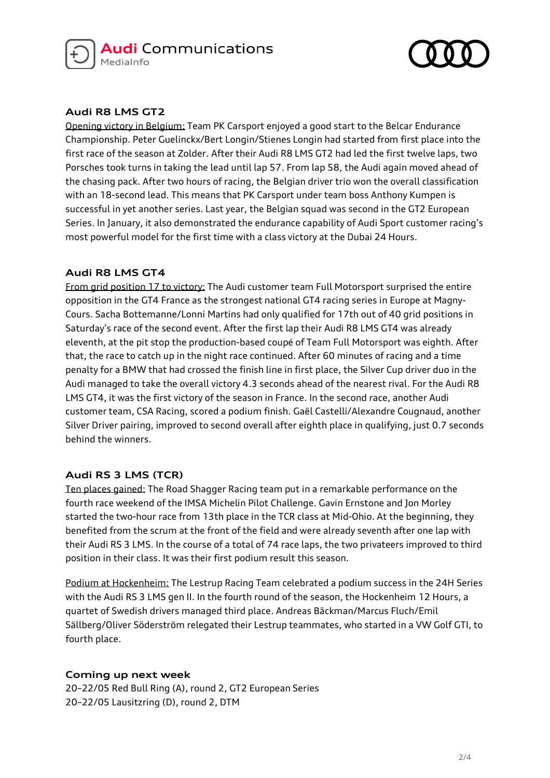



## **Audi R8 LMS GT2**

Opening victory in Belgium: Team PK Carsport enjoyed a good start to the Belcar Endurance Championship. Peter Guelinckx/Bert Longin/Stienes Longin had started from first place into the first race of the season at Zolder. After their Audi R8 LMS GT2 had led the first twelve laps, two Porsches took turns in taking the lead until lap 57. From lap 58, the Audi again moved ahead of the chasing pack. After two hours of racing, the Belgian driver trio won the overall classification with an 18-second lead. This means that PK Carsport under team boss Anthony Kumpen is successful in yet another series. Last year, the Belgian squad was second in the GT2 European Series. In January, it also demonstrated the endurance capability of Audi Sport customer racing's most powerful model for the first time with a class victory at the Dubai 24 Hours.

## **Audi R8 LMS GT4**

From grid position 17 to victory: The Audi customer team Full Motorsport surprised the entire opposition in the GT4 France as the strongest national GT4 racing series in Europe at Magny-Cours. Sacha Bottemanne/Lonni Martins had only qualified for 17th out of 40 grid positions in Saturday's race of the second event. After the first lap their Audi R8 LMS GT4 was already eleventh, at the pit stop the production-based coupé of Team Full Motorsport was eighth. After that, the race to catch up in the night race continued. After 60 minutes of racing and a time penalty for a BMW that had crossed the finish line in first place, the Silver Cup driver duo in the Audi managed to take the overall victory 4.3 seconds ahead of the nearest rival. For the Audi R8 LMS GT4, it was the first victory of the season in France. In the second race, another Audi customer team, CSA Racing, scored a podium finish. Gaël Castelli/Alexandre Cougnaud, another Silver Driver pairing, improved to second overall after eighth place in qualifying, just 0.7 seconds behind the winners.

## **Audi RS 3 LMS (TCR)**

Ten places gained: The Road Shagger Racing team put in a remarkable performance on the fourth race weekend of the IMSA Michelin Pilot Challenge. Gavin Ernstone and Jon Morley started the two-hour race from 13th place in the TCR class at Mid-Ohio. At the beginning, they benefited from the scrum at the front of the field and were already seventh after one lap with their Audi RS 3 LMS. In the course of a total of 74 race laps, the two privateers improved to third position in their class. It was their first podium result this season.

Podium at Hockenheim: The Lestrup Racing Team celebrated a podium success in the 24H Series with the Audi RS 3 LMS gen II. In the fourth round of the season, the Hockenheim 12 Hours, a quartet of Swedish drivers managed third place. Andreas Bäckman/Marcus Fluch/Emil Sällberg/Oliver Söderström relegated their Lestrup teammates, who started in a VW Golf GTI, to fourth place.

## **Coming up next week**

20–22/05 Red Bull Ring (A), round 2, GT2 European Series 20–22/05 Lausitzring (D), round 2, DTM